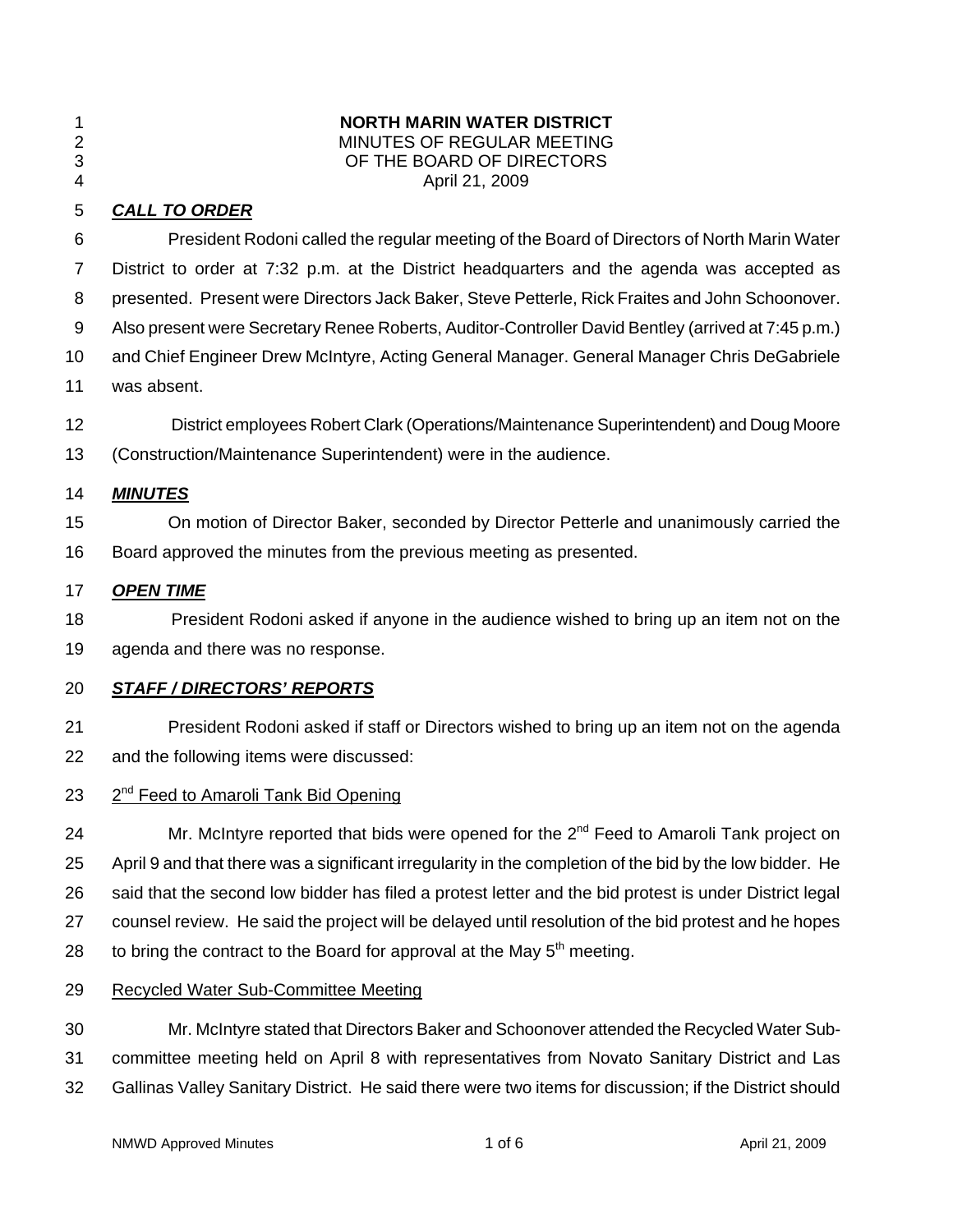| í<br>۰. |  |
|---------|--|
|         |  |

# 1 **NORTH MARIN WATER DISTRICT**  MINUTES OF REGULAR MEETING 3 OF THE BOARD OF DIRECTORS

### 4 April 21, 2009

# 5 *CALL TO ORDER*

| 6              | President Rodoni called the regular meeting of the Board of Directors of North Marin Water               |
|----------------|----------------------------------------------------------------------------------------------------------|
| $\overline{7}$ | District to order at 7:32 p.m. at the District headquarters and the agenda was accepted as               |
| 8              | presented. Present were Directors Jack Baker, Steve Petterle, Rick Fraites and John Schoonover.          |
| 9              | Also present were Secretary Renee Roberts, Auditor-Controller David Bentley (arrived at 7:45 p.m.)       |
| 10             | and Chief Engineer Drew McIntyre, Acting General Manager. General Manager Chris DeGabriele               |
| 11             | was absent.                                                                                              |
| 12             | District employees Robert Clark (Operations/Maintenance Superintendent) and Doug Moore                   |
| 13             | (Construction/Maintenance Superintendent) were in the audience.                                          |
| 14             | <b>MINUTES</b>                                                                                           |
| 15             | On motion of Director Baker, seconded by Director Petterle and unanimously carried the                   |
| 16             | Board approved the minutes from the previous meeting as presented.                                       |
| 17             | <b>OPEN TIME</b>                                                                                         |
| 18             | President Rodoni asked if anyone in the audience wished to bring up an item not on the                   |
| 19             | agenda and there was no response.                                                                        |
| 20             | <b>STAFF / DIRECTORS' REPORTS</b>                                                                        |
| 21             | President Rodoni asked if staff or Directors wished to bring up an item not on the agenda                |
| 22             | and the following items were discussed:                                                                  |
| 23             | 2 <sup>nd</sup> Feed to Amaroli Tank Bid Opening                                                         |
| 24             | Mr. McIntyre reported that bids were opened for the 2 <sup>nd</sup> Feed to Amaroli Tank project on      |
| 25             | April 9 and that there was a significant irregularity in the completion of the bid by the low bidder. He |
| 26             | said that the second low bidder has filed a protest letter and the bid protest is under District legal   |
| 27             | counsel review. He said the project will be delayed until resolution of the bid protest and he hopes     |

- 28 to bring the contract to the Board for approval at the May  $5<sup>th</sup>$  meeting.
- 29 Recycled Water Sub-Committee Meeting

30 Mr. McIntyre stated that Directors Baker and Schoonover attended the Recycled Water Sub-31 committee meeting held on April 8 with representatives from Novato Sanitary District and Las 32 Gallinas Valley Sanitary District. He said there were two items for discussion; if the District should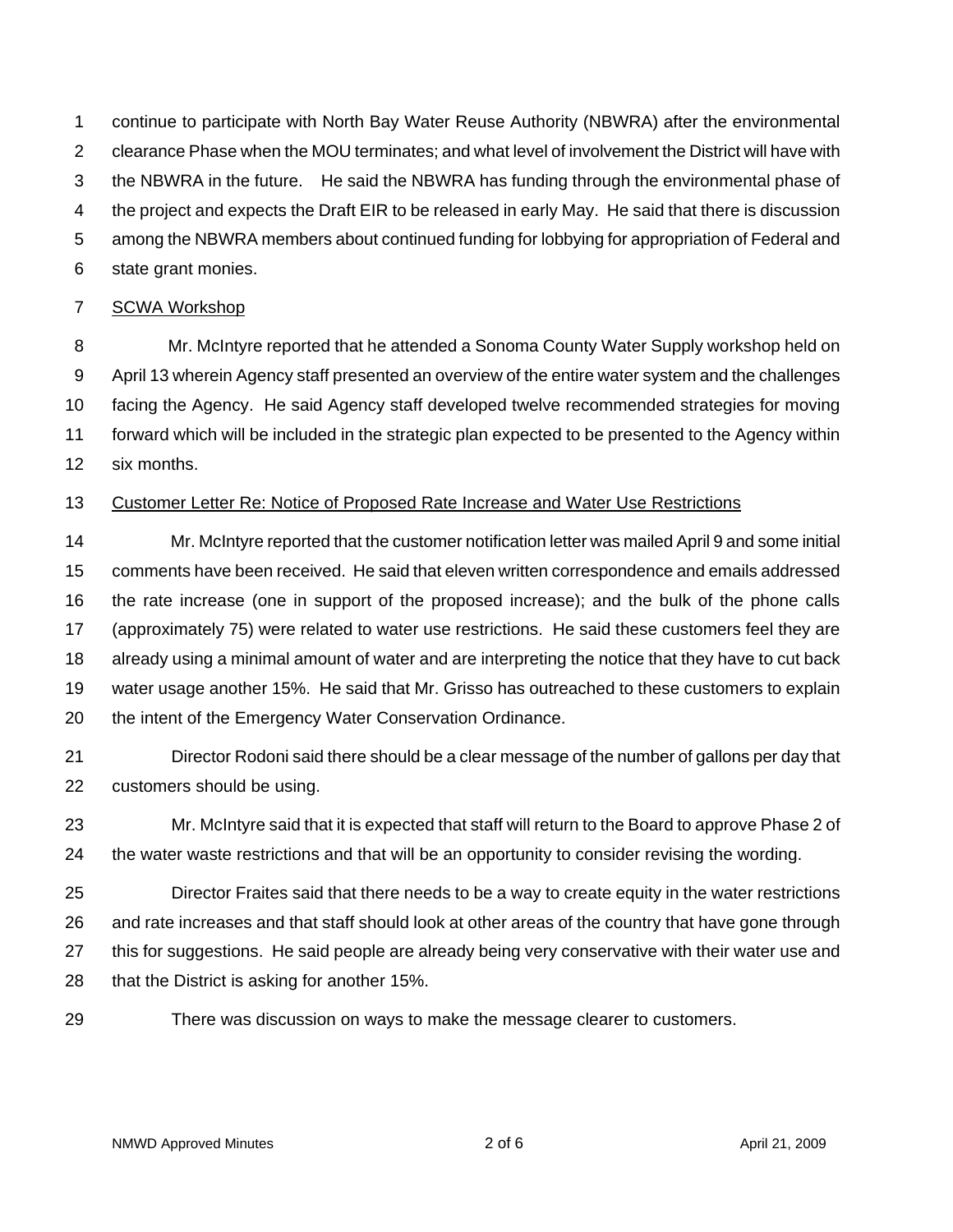1 continue to participate with North Bay Water Reuse Authority (NBWRA) after the environmental 2 clearance Phase when the MOU terminates; and what level of involvement the District will have with 3 the NBWRA in the future. He said the NBWRA has funding through the environmental phase of 4 the project and expects the Draft EIR to be released in early May. He said that there is discussion 5 among the NBWRA members about continued funding for lobbying for appropriation of Federal and 6 state grant monies.

### 7 SCWA Workshop

8 Mr. McIntyre reported that he attended a Sonoma County Water Supply workshop held on 9 April 13 wherein Agency staff presented an overview of the entire water system and the challenges 10 facing the Agency. He said Agency staff developed twelve recommended strategies for moving 11 forward which will be included in the strategic plan expected to be presented to the Agency within 12 six months.

#### 13 Customer Letter Re: Notice of Proposed Rate Increase and Water Use Restrictions

14 Mr. McIntyre reported that the customer notification letter was mailed April 9 and some initial 15 comments have been received. He said that eleven written correspondence and emails addressed 16 the rate increase (one in support of the proposed increase); and the bulk of the phone calls 17 (approximately 75) were related to water use restrictions. He said these customers feel they are 18 already using a minimal amount of water and are interpreting the notice that they have to cut back 19 water usage another 15%. He said that Mr. Grisso has outreached to these customers to explain 20 the intent of the Emergency Water Conservation Ordinance.

21 Director Rodoni said there should be a clear message of the number of gallons per day that 22 customers should be using.

23 Mr. McIntyre said that it is expected that staff will return to the Board to approve Phase 2 of 24 the water waste restrictions and that will be an opportunity to consider revising the wording.

25 Director Fraites said that there needs to be a way to create equity in the water restrictions 26 and rate increases and that staff should look at other areas of the country that have gone through 27 this for suggestions. He said people are already being very conservative with their water use and 28 that the District is asking for another 15%.

29 There was discussion on ways to make the message clearer to customers.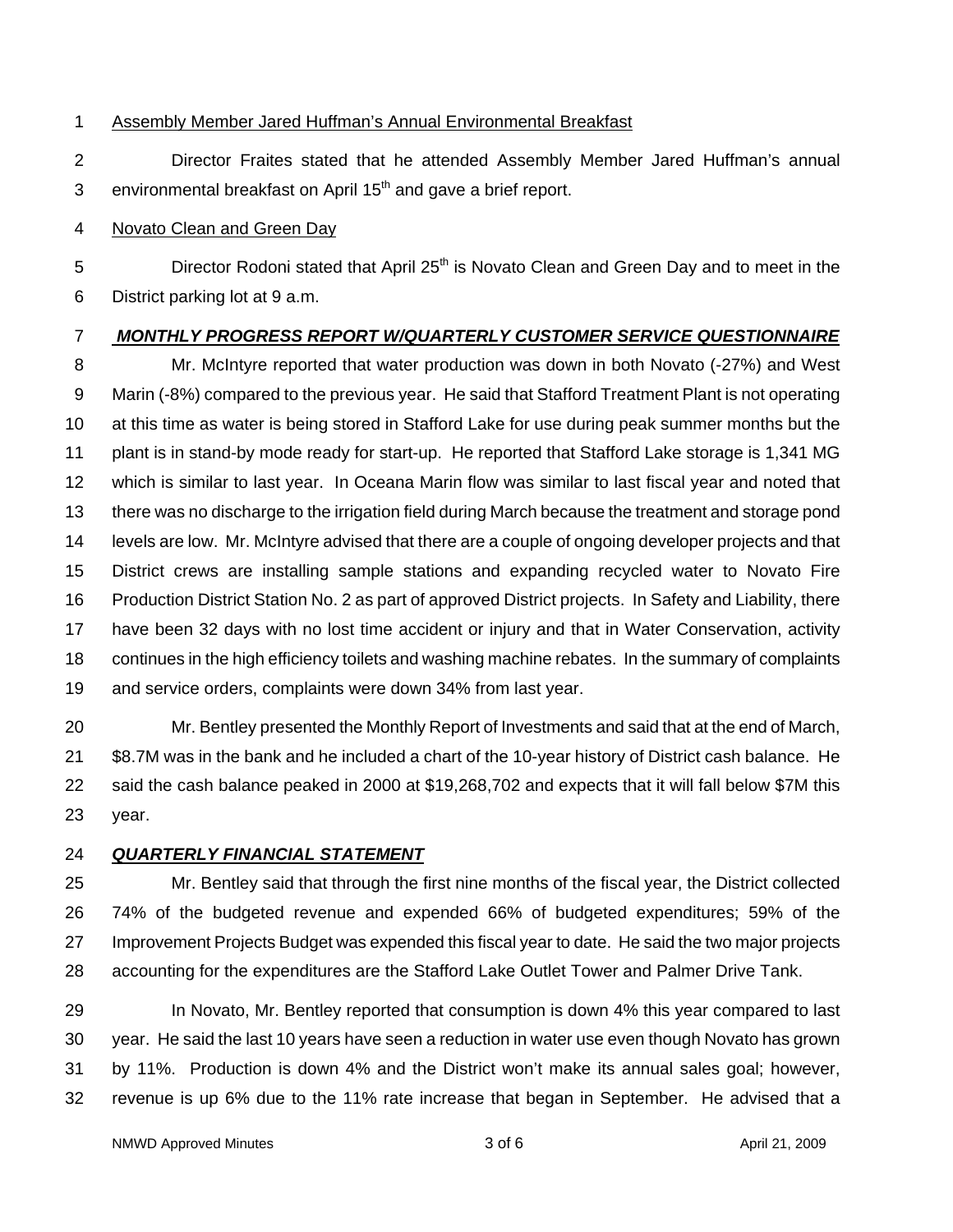### 1 Assembly Member Jared Huffman's Annual Environmental Breakfast

2 Director Fraites stated that he attended Assembly Member Jared Huffman's annual 3 environmental breakfast on April  $15<sup>th</sup>$  and gave a brief report.

#### 4 Novato Clean and Green Day

5 **Director Rodoni stated that April 25<sup>th</sup> is Novato Clean and Green Day and to meet in the** 6 District parking lot at 9 a.m.

### 7 *MONTHLY PROGRESS REPORT W/QUARTERLY CUSTOMER SERVICE QUESTIONNAIRE*

8 Mr. McIntyre reported that water production was down in both Novato (-27%) and West 9 Marin (-8%) compared to the previous year. He said that Stafford Treatment Plant is not operating 10 at this time as water is being stored in Stafford Lake for use during peak summer months but the 11 plant is in stand-by mode ready for start-up. He reported that Stafford Lake storage is 1,341 MG 12 which is similar to last year. In Oceana Marin flow was similar to last fiscal year and noted that 13 there was no discharge to the irrigation field during March because the treatment and storage pond 14 levels are low. Mr. McIntyre advised that there are a couple of ongoing developer projects and that 15 District crews are installing sample stations and expanding recycled water to Novato Fire 16 Production District Station No. 2 as part of approved District projects. In Safety and Liability, there 17 have been 32 days with no lost time accident or injury and that in Water Conservation, activity 18 continues in the high efficiency toilets and washing machine rebates. In the summary of complaints 19 and service orders, complaints were down 34% from last year.

20 Mr. Bentley presented the Monthly Report of Investments and said that at the end of March, 21 \$8.7M was in the bank and he included a chart of the 10-year history of District cash balance. He 22 said the cash balance peaked in 2000 at \$19,268,702 and expects that it will fall below \$7M this 23 year.

### 24 *QUARTERLY FINANCIAL STATEMENT*

25 Mr. Bentley said that through the first nine months of the fiscal year, the District collected 26 74% of the budgeted revenue and expended 66% of budgeted expenditures; 59% of the 27 Improvement Projects Budget was expended this fiscal year to date. He said the two major projects 28 accounting for the expenditures are the Stafford Lake Outlet Tower and Palmer Drive Tank.

29 In Novato, Mr. Bentley reported that consumption is down 4% this year compared to last 30 year. He said the last 10 years have seen a reduction in water use even though Novato has grown 31 by 11%. Production is down 4% and the District won't make its annual sales goal; however, 32 revenue is up 6% due to the 11% rate increase that began in September. He advised that a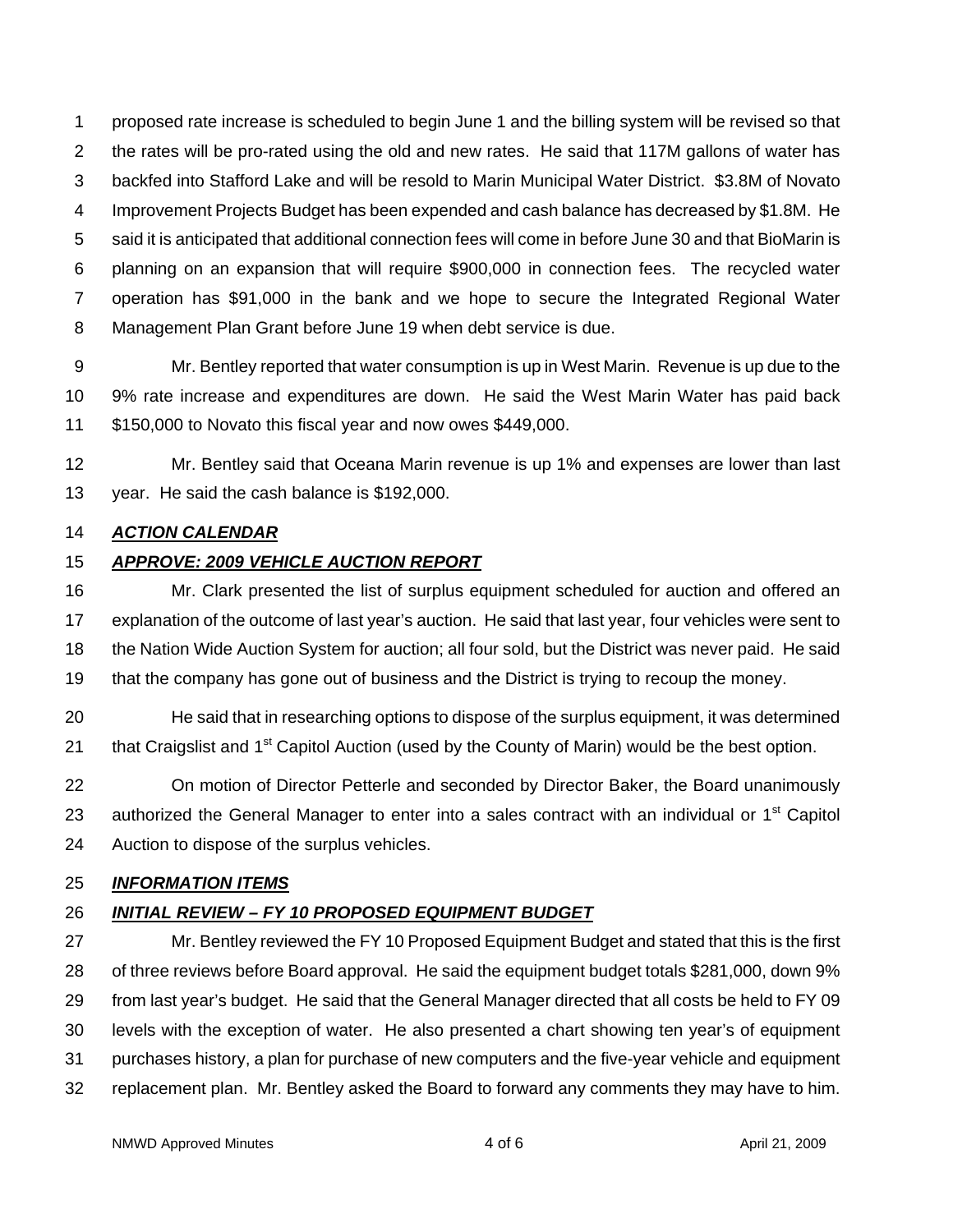1 proposed rate increase is scheduled to begin June 1 and the billing system will be revised so that 2 the rates will be pro-rated using the old and new rates. He said that 117M gallons of water has 3 backfed into Stafford Lake and will be resold to Marin Municipal Water District. \$3.8M of Novato 4 Improvement Projects Budget has been expended and cash balance has decreased by \$1.8M. He 5 said it is anticipated that additional connection fees will come in before June 30 and that BioMarin is 6 planning on an expansion that will require \$900,000 in connection fees. The recycled water 7 operation has \$91,000 in the bank and we hope to secure the Integrated Regional Water 8 Management Plan Grant before June 19 when debt service is due.

9 Mr. Bentley reported that water consumption is up in West Marin. Revenue is up due to the 10 9% rate increase and expenditures are down. He said the West Marin Water has paid back 11 \$150,000 to Novato this fiscal year and now owes \$449,000.

12 Mr. Bentley said that Oceana Marin revenue is up 1% and expenses are lower than last 13 year. He said the cash balance is \$192,000.

### 14 *ACTION CALENDAR*

## 15 *APPROVE: 2009 VEHICLE AUCTION REPORT*

16 Mr. Clark presented the list of surplus equipment scheduled for auction and offered an 17 explanation of the outcome of last year's auction. He said that last year, four vehicles were sent to 18 the Nation Wide Auction System for auction; all four sold, but the District was never paid. He said 19 that the company has gone out of business and the District is trying to recoup the money.

20 He said that in researching options to dispose of the surplus equipment, it was determined 21 that Craigslist and  $1<sup>st</sup>$  Capitol Auction (used by the County of Marin) would be the best option.

22 On motion of Director Petterle and seconded by Director Baker, the Board unanimously 23 authorized the General Manager to enter into a sales contract with an individual or  $1<sup>st</sup>$  Capitol 24 Auction to dispose of the surplus vehicles.

## 25 *INFORMATION ITEMS*

# 26 *INITIAL REVIEW – FY 10 PROPOSED EQUIPMENT BUDGET*

27 Mr. Bentley reviewed the FY 10 Proposed Equipment Budget and stated that this is the first 28 of three reviews before Board approval. He said the equipment budget totals \$281,000, down 9% 29 from last year's budget. He said that the General Manager directed that all costs be held to FY 09 30 levels with the exception of water. He also presented a chart showing ten year's of equipment 31 purchases history, a plan for purchase of new computers and the five-year vehicle and equipment 32 replacement plan. Mr. Bentley asked the Board to forward any comments they may have to him.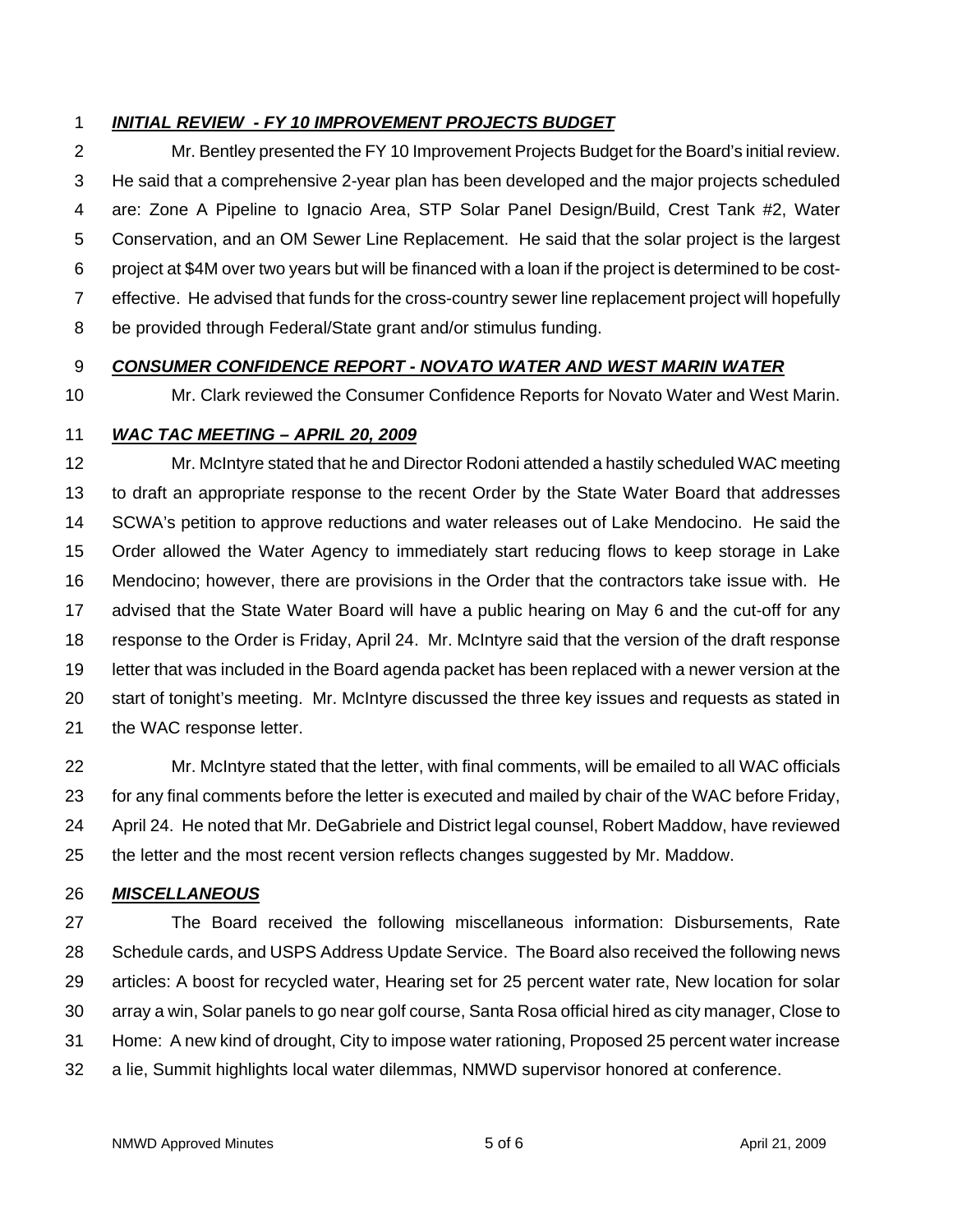## 1 *INITIAL REVIEW - FY 10 IMPROVEMENT PROJECTS BUDGET*

2 Mr. Bentley presented the FY 10 Improvement Projects Budget for the Board's initial review. 3 He said that a comprehensive 2-year plan has been developed and the major projects scheduled 4 are: Zone A Pipeline to Ignacio Area, STP Solar Panel Design/Build, Crest Tank #2, Water 5 Conservation, and an OM Sewer Line Replacement. He said that the solar project is the largest 6 project at \$4M over two years but will be financed with a loan if the project is determined to be cost-7 effective. He advised that funds for the cross-country sewer line replacement project will hopefully 8 be provided through Federal/State grant and/or stimulus funding.

## 9 *CONSUMER CONFIDENCE REPORT - NOVATO WATER AND WEST MARIN WATER*

## 10 Mr. Clark reviewed the Consumer Confidence Reports for Novato Water and West Marin.

### 11 *WAC TAC MEETING – APRIL 20, 2009*

12 Mr. McIntyre stated that he and Director Rodoni attended a hastily scheduled WAC meeting 13 to draft an appropriate response to the recent Order by the State Water Board that addresses 14 SCWA's petition to approve reductions and water releases out of Lake Mendocino. He said the 15 Order allowed the Water Agency to immediately start reducing flows to keep storage in Lake 16 Mendocino; however, there are provisions in the Order that the contractors take issue with. He 17 advised that the State Water Board will have a public hearing on May 6 and the cut-off for any 18 response to the Order is Friday, April 24. Mr. McIntyre said that the version of the draft response 19 letter that was included in the Board agenda packet has been replaced with a newer version at the 20 start of tonight's meeting. Mr. McIntyre discussed the three key issues and requests as stated in 21 the WAC response letter.

22 Mr. McIntyre stated that the letter, with final comments, will be emailed to all WAC officials 23 for any final comments before the letter is executed and mailed by chair of the WAC before Friday, 24 April 24. He noted that Mr. DeGabriele and District legal counsel, Robert Maddow, have reviewed 25 the letter and the most recent version reflects changes suggested by Mr. Maddow.

### 26 *MISCELLANEOUS*

27 The Board received the following miscellaneous information: Disbursements, Rate 28 Schedule cards, and USPS Address Update Service. The Board also received the following news 29 articles: A boost for recycled water, Hearing set for 25 percent water rate, New location for solar 30 array a win, Solar panels to go near golf course, Santa Rosa official hired as city manager, Close to 31 Home: A new kind of drought, City to impose water rationing, Proposed 25 percent water increase 32 a lie, Summit highlights local water dilemmas, NMWD supervisor honored at conference.